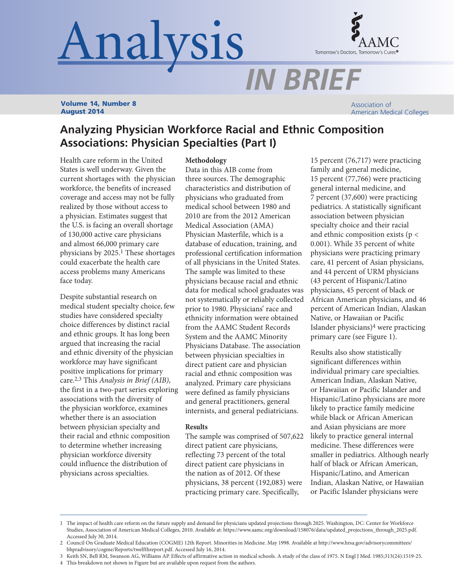# Analysis



*IN BRIEF*

Volume 14, Number 8 August 2014

Association of American Medical Colleges

# **Analyzing Physician Workforce Racial and Ethnic Composition Associations: Physician Specialties (Part I)**

Health care reform in the United States is well underway. Given the current shortages with the physician workforce, the benefits of increased coverage and access may not be fully realized by those without access to a physician. Estimates suggest that the U.S. is facing an overall shortage of 130,000 active care physicians and almost 66,000 primary care physicians by 2025.1 These shortages could exacerbate the health care access problems many Americans face today.

Despite substantial research on medical student specialty choice, few studies have considered specialty choice differences by distinct racial and ethnic groups. It has long been argued that increasing the racial and ethnic diversity of the physician workforce may have significant positive implications for primary care.2,3 This *Analysis in Brief (AIB)*, the first in a two-part series exploring associations with the diversity of the physician workforce, examines whether there is an association between physician specialty and their racial and ethnic composition to determine whether increasing physician workforce diversity could influence the distribution of physicians across specialties.

## **Methodology**

Data in this AIB come from three sources. The demographic characteristics and distribution of physicians who graduated from medical school between 1980 and 2010 are from the 2012 American Medical Association (AMA) Physician Masterfile, which is a database of education, training, and professional certification information of all physicians in the United States. The sample was limited to these physicians because racial and ethnic data for medical school graduates was not systematically or reliably collected prior to 1980. Physicians' race and ethnicity information were obtained from the AAMC Student Records System and the AAMC Minority Physicians Database. The association between physician specialties in direct patient care and physician racial and ethnic composition was analyzed. Primary care physicians were defined as family physicians and general practitioners, general internists, and general pediatricians.

# **Results**

The sample was comprised of 507,622 direct patient care physicians, reflecting 73 percent of the total direct patient care physicians in the nation as of 2012. Of these physicians, 38 percent (192,083) were practicing primary care. Specifically,

15 percent (76,717) were practicing family and general medicine, 15 percent (77,766) were practicing general internal medicine, and 7 percent (37,600) were practicing pediatrics. A statistically significant association between physician specialty choice and their racial and ethnic composition exists ( $p <$ 0.001). While 35 percent of white physicians were practicing primary care, 41 percent of Asian physicians, and 44 percent of URM physicians (43 percent of Hispanic/Latino physicians, 45 percent of black or African American physicians, and 46 percent of American Indian, Alaskan Native, or Hawaiian or Pacific Islander physicians)4 were practicing primary care (see Figure 1).

Results also show statistically significant differences within individual primary care specialties. American Indian, Alaskan Native, or Hawaiian or Pacific Islander and Hispanic/Latino physicians are more likely to practice family medicine while black or African American and Asian physicians are more likely to practice general internal medicine. These differences were smaller in pediatrics. Although nearly half of black or African American, Hispanic/Latino, and American Indian, Alaskan Native, or Hawaiian or Pacific Islander physicians were

<sup>1</sup> The impact of health care reform on the future supply and demand for physicians updated projections through 2025. Washington, DC: Center for Workforce Studies, Association of American Medical Colleges, 2010. Available at: https://www.aamc.org/download/158076/data/updated\_projections\_through\_2025.pdf. Accessed July 30, 2014.

<sup>2</sup> Council On Graduate Medical Education (COGME) 12th Report. Minorities in Medicine. May 1998. Available at http://www.hrsa.gov/advisorycommittees/ bhpradvisory/cogme/Reports/twelfthreport.pdf. Accessed July 16, 2014.

<sup>3</sup> Keith SN, Bell RM, Swanson AG, Williams AP. Effects of affirmative action in medical schools. A study of the class of 1975. N Engl J Med. 1985;313(24):1519-25.

<sup>4</sup> This breakdown not shown in Figure but are available upon request from the authors.